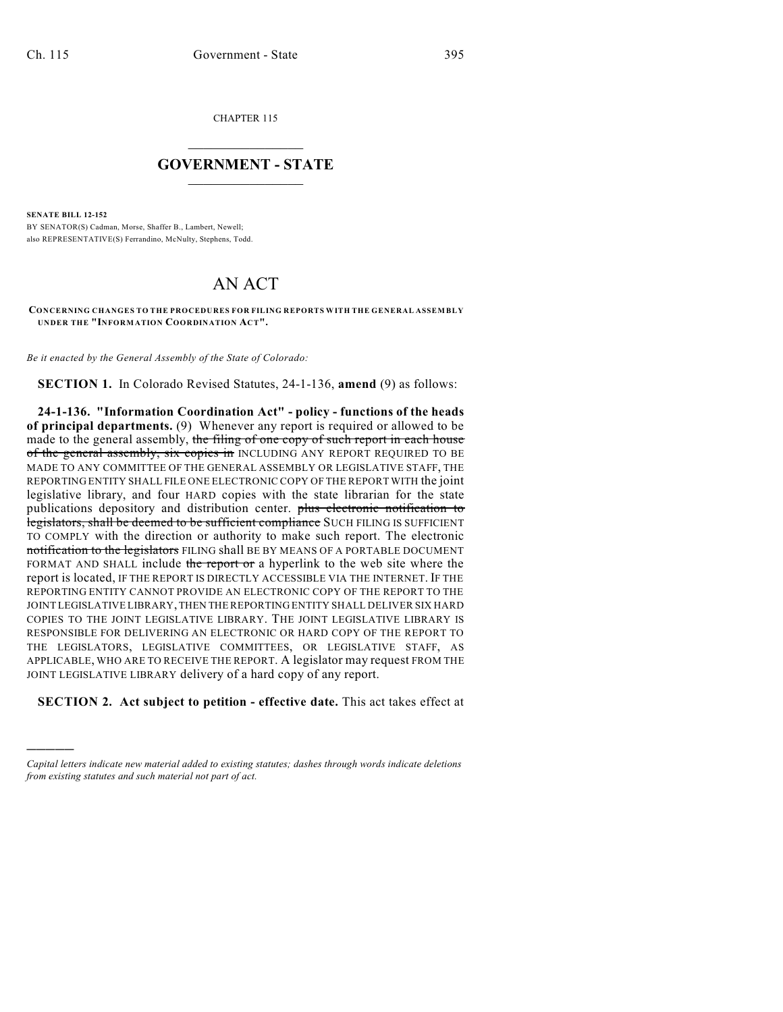CHAPTER 115

## $\overline{\phantom{a}}$  . The set of the set of the set of the set of the set of the set of the set of the set of the set of the set of the set of the set of the set of the set of the set of the set of the set of the set of the set o **GOVERNMENT - STATE**  $\_$

**SENATE BILL 12-152**

)))))

BY SENATOR(S) Cadman, Morse, Shaffer B., Lambert, Newell; also REPRESENTATIVE(S) Ferrandino, McNulty, Stephens, Todd.

## AN ACT

**CONCERNING CHANGES TO THE PROCEDURES FOR FILING REPORTS WITH THE GENERAL ASSEMBLY UNDER THE "INFORMATION COORDINATION ACT".**

*Be it enacted by the General Assembly of the State of Colorado:*

**SECTION 1.** In Colorado Revised Statutes, 24-1-136, **amend** (9) as follows:

**24-1-136. "Information Coordination Act" - policy - functions of the heads of principal departments.** (9) Whenever any report is required or allowed to be made to the general assembly, the filing of one copy of such report in each house of the general assembly, six copies in INCLUDING ANY REPORT REQUIRED TO BE MADE TO ANY COMMITTEE OF THE GENERAL ASSEMBLY OR LEGISLATIVE STAFF, THE REPORTING ENTITY SHALL FILE ONE ELECTRONIC COPY OF THE REPORT WITH the joint legislative library, and four HARD copies with the state librarian for the state publications depository and distribution center. plus electronic notification to legislators, shall be deemed to be sufficient compliance SUCH FILING IS SUFFICIENT TO COMPLY with the direction or authority to make such report. The electronic notification to the legislators FILING shall BE BY MEANS OF A PORTABLE DOCUMENT FORMAT AND SHALL include the report or a hyperlink to the web site where the report is located, IF THE REPORT IS DIRECTLY ACCESSIBLE VIA THE INTERNET. IF THE REPORTING ENTITY CANNOT PROVIDE AN ELECTRONIC COPY OF THE REPORT TO THE JOINT LEGISLATIVE LIBRARY, THEN THE REPORTING ENTITY SHALL DELIVER SIX HARD COPIES TO THE JOINT LEGISLATIVE LIBRARY. THE JOINT LEGISLATIVE LIBRARY IS RESPONSIBLE FOR DELIVERING AN ELECTRONIC OR HARD COPY OF THE REPORT TO THE LEGISLATORS, LEGISLATIVE COMMITTEES, OR LEGISLATIVE STAFF, AS APPLICABLE, WHO ARE TO RECEIVE THE REPORT. A legislator may request FROM THE JOINT LEGISLATIVE LIBRARY delivery of a hard copy of any report.

**SECTION 2. Act subject to petition - effective date.** This act takes effect at

*Capital letters indicate new material added to existing statutes; dashes through words indicate deletions from existing statutes and such material not part of act.*